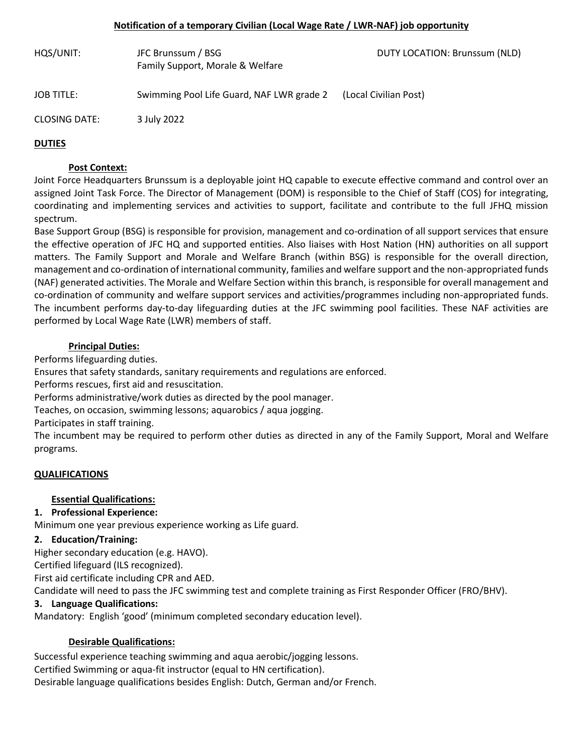#### **Notification of a temporary Civilian (Local Wage Rate / LWR-NAF) job opportunity**

| HQS/UNIT:            | JFC Brunssum / BSG<br>Family Support, Morale & Welfare | DUTY LOCATION: Brunssum (NLD) |
|----------------------|--------------------------------------------------------|-------------------------------|
| <b>JOB TITLE:</b>    | Swimming Pool Life Guard, NAF LWR grade 2              | (Local Civilian Post)         |
| <b>CLOSING DATE:</b> | 3 July 2022                                            |                               |
| <b>DUTIES</b>        |                                                        |                               |

#### **Post Context:**

Joint Force Headquarters Brunssum is a deployable joint HQ capable to execute effective command and control over an assigned Joint Task Force. The Director of Management (DOM) is responsible to the Chief of Staff (COS) for integrating, coordinating and implementing services and activities to support, facilitate and contribute to the full JFHQ mission spectrum.

Base Support Group (BSG) is responsible for provision, management and co-ordination of all support services that ensure the effective operation of JFC HQ and supported entities. Also liaises with Host Nation (HN) authorities on all support matters. The Family Support and Morale and Welfare Branch (within BSG) is responsible for the overall direction, management and co-ordination of international community, families and welfare support and the non-appropriated funds (NAF) generated activities. The Morale and Welfare Section within this branch, is responsible for overall management and co-ordination of community and welfare support services and activities/programmes including non-appropriated funds. The incumbent performs day-to-day lifeguarding duties at the JFC swimming pool facilities. These NAF activities are performed by Local Wage Rate (LWR) members of staff.

### **Principal Duties:**

Performs lifeguarding duties.

Ensures that safety standards, sanitary requirements and regulations are enforced.

Performs rescues, first aid and resuscitation.

Performs administrative/work duties as directed by the pool manager.

Teaches, on occasion, swimming lessons; aquarobics / aqua jogging.

Participates in staff training.

The incumbent may be required to perform other duties as directed in any of the Family Support, Moral and Welfare programs.

#### **QUALIFICATIONS**

# **Essential Qualifications:**

# **1. Professional Experience:**

Minimum one year previous experience working as Life guard.

# **2. Education/Training:**

Higher secondary education (e.g. HAVO).

Certified lifeguard (ILS recognized).

First aid certificate including CPR and AED.

Candidate will need to pass the JFC swimming test and complete training as First Responder Officer (FRO/BHV).

# **3. Language Qualifications:**

Mandatory: English 'good' (minimum completed secondary education level).

# **Desirable Qualifications:**

Successful experience teaching swimming and aqua aerobic/jogging lessons. Certified Swimming or aqua-fit instructor (equal to HN certification). Desirable language qualifications besides English: Dutch, German and/or French.